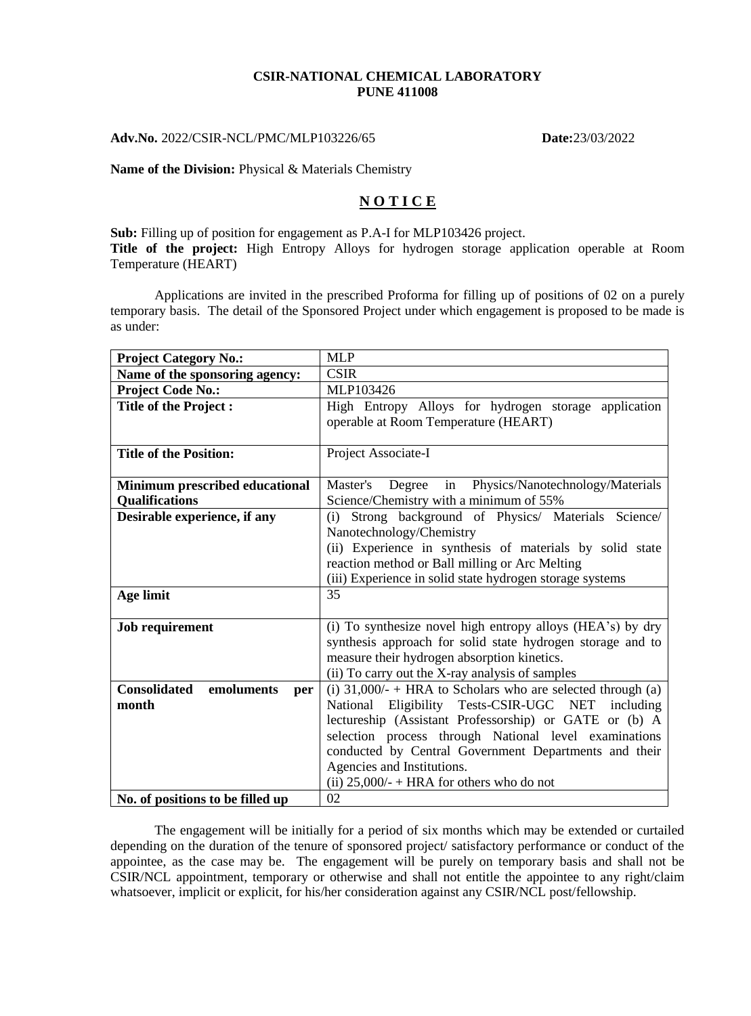#### **CSIR-NATIONAL CHEMICAL LABORATORY PUNE 411008**

## **Adv.No.** 2022/CSIR-NCL/PMC/MLP103226/65 **Date:**23/03/2022

### **Name of the Division:** Physical & Materials Chemistry

# **N O T I C E**

**Sub:** Filling up of position for engagement as P.A-I for MLP103426 project. **Title of the project:** High Entropy Alloys for hydrogen storage application operable at Room Temperature (HEART)

Applications are invited in the prescribed Proforma for filling up of positions of 02 on a purely temporary basis. The detail of the Sponsored Project under which engagement is proposed to be made is as under:

| <b>Project Category No.:</b>             | <b>MLP</b>                                                    |
|------------------------------------------|---------------------------------------------------------------|
| Name of the sponsoring agency:           | <b>CSIR</b>                                                   |
| <b>Project Code No.:</b>                 | MLP103426                                                     |
| <b>Title of the Project:</b>             | High Entropy Alloys for hydrogen storage application          |
|                                          | operable at Room Temperature (HEART)                          |
|                                          |                                                               |
| <b>Title of the Position:</b>            | Project Associate-I                                           |
|                                          |                                                               |
| Minimum prescribed educational           | Degree<br>in<br>Physics/Nanotechnology/Materials<br>Master's  |
| <b>Oualifications</b>                    | Science/Chemistry with a minimum of 55%                       |
| Desirable experience, if any             | Strong background of Physics/ Materials Science/<br>(i)       |
|                                          | Nanotechnology/Chemistry                                      |
|                                          | (ii) Experience in synthesis of materials by solid state      |
|                                          | reaction method or Ball milling or Arc Melting                |
|                                          | (iii) Experience in solid state hydrogen storage systems      |
| Age limit                                | 35                                                            |
|                                          |                                                               |
| <b>Job requirement</b>                   | (i) To synthesize novel high entropy alloys (HEA's) by dry    |
|                                          | synthesis approach for solid state hydrogen storage and to    |
|                                          | measure their hydrogen absorption kinetics.                   |
|                                          | (ii) To carry out the X-ray analysis of samples               |
| <b>Consolidated</b><br>emoluments<br>per | (i) $31,000/- + HRA$ to Scholars who are selected through (a) |
| month                                    | National Eligibility Tests-CSIR-UGC NET including             |
|                                          | lectureship (Assistant Professorship) or GATE or (b) A        |
|                                          | selection process through National level examinations         |
|                                          | conducted by Central Government Departments and their         |
|                                          | Agencies and Institutions.                                    |
|                                          | (ii) $25,000/$ + HRA for others who do not                    |
| No. of positions to be filled up         | 02                                                            |

The engagement will be initially for a period of six months which may be extended or curtailed depending on the duration of the tenure of sponsored project/ satisfactory performance or conduct of the appointee, as the case may be. The engagement will be purely on temporary basis and shall not be CSIR/NCL appointment, temporary or otherwise and shall not entitle the appointee to any right/claim whatsoever, implicit or explicit, for his/her consideration against any CSIR/NCL post/fellowship.